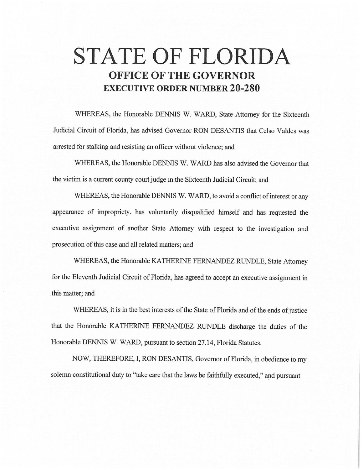# **STATE OF FLORIDA OFFICE OF THE GOVERNOR EXECUTIVE ORDER NUMBER 20-280**

WHEREAS, the Honorable DENNIS W. WARD, State Attorney for the Sixteenth Judicial Circuit of Florida, has advised Governor RON DESANTIS that Celso Valdes was arrested for stalking and resisting an officer without violence; and

WHEREAS, the Honorable DENNIS W. WARD has also advised the Governor that the victim is a current county court judge in the Sixteenth Judicial Circuit; and

WHEREAS, the Honorable DENNIS W. WARD, to avoid a conflict of interest or any appearance of impropriety, has voluntarily disqualified himself and has requested the executive assignment of another State Attorney with respect to the investigation and prosecution of this case and all related matters; and

WHEREAS, the Honorable KATHERINE FERNANDEZ RUNDLE, State Attorney for the Eleventh Judicial Circuit of Florida, has agreed to accept an executive assignment in this matter; and

WHEREAS, it is in the best interests of the State of Florida and of the ends of justice that the Honorable KATHERINE FERNANDEZ RUNDLE discharge the duties of the Honorable DENNIS W. WARD, pursuant to section 27.14, Florida Statutes.

NOW, THEREFORE, I, RON DESANTIS, Governor of Florida, in obedience to my solemn constitutional duty to "take care that the laws be faithfully executed," and pursuant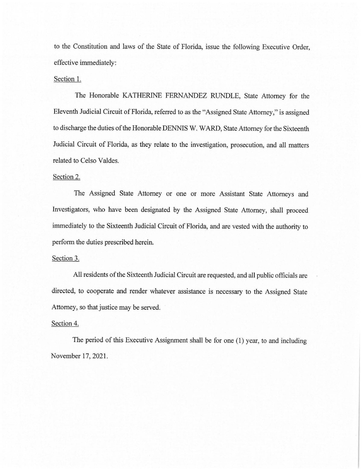to the Constitution and laws of the State of Florida, issue the following Executive Order, effective immediately:

#### Section 1.

The Honorable KATHERINE FERNANDEZ RUNDLE, State Attorney for the Eleventh Judicial Circuit of Florida, referred to as the "Assigned State Attorney," is assigned to discharge the duties of the Honorable DENNIS W. WARD, State Attorney for the Sixteenth Judicial Circuit of Florida, as they relate to the investigation, prosecution, and all matters related to Celso Valdes.

#### Section 2.

The Assigned State Attorney or one or more Assistant State Attorneys and Investigators, who have been designated by the Assigned State Attorney, shall proceed immediately to the Sixteenth Judicial Circuit of Florida, and are vested with the authority to perform the duties prescribed herein.

### Section 3.

All residents of the Sixteenth Judicial Circuit are requested, and all public officials are directed, to cooperate and render whatever assistance is necessary to the Assigned State Attorney, so that justice may be served.

## Section 4.

The period of this Executive Assignment shall be for one (1) year, to and including November 17, 2021.